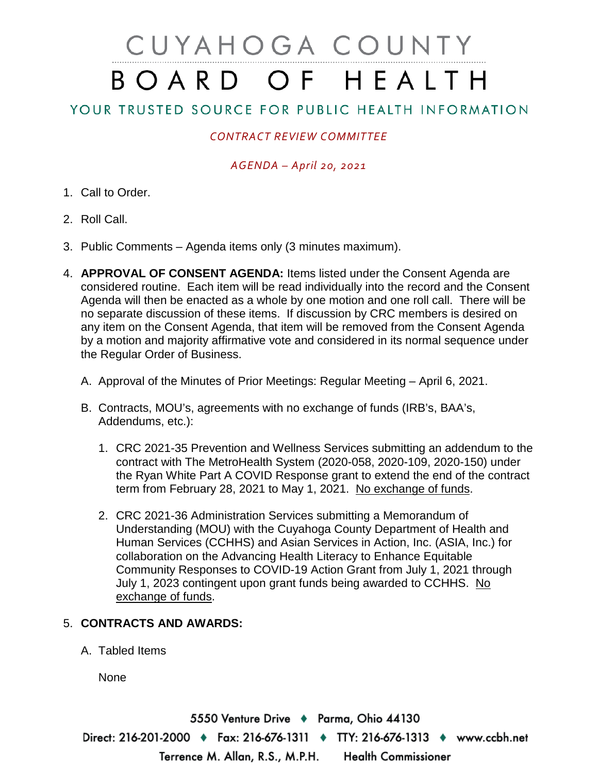# CUYAHOGA COUNTY BOARD OF HEALTH

## YOUR TRUSTED SOURCE FOR PUBLIC HEALTH INFORMATION

### *CONTRACT REVIEW COMMITTEE*

#### *AGENDA – April 20, 2021*

- 1. Call to Order.
- 2. Roll Call.
- 3. Public Comments Agenda items only (3 minutes maximum).
- 4. **APPROVAL OF CONSENT AGENDA:** Items listed under the Consent Agenda are considered routine. Each item will be read individually into the record and the Consent Agenda will then be enacted as a whole by one motion and one roll call. There will be no separate discussion of these items. If discussion by CRC members is desired on any item on the Consent Agenda, that item will be removed from the Consent Agenda by a motion and majority affirmative vote and considered in its normal sequence under the Regular Order of Business.
	- A. Approval of the Minutes of Prior Meetings: Regular Meeting April 6, 2021.
	- B. Contracts, MOU's, agreements with no exchange of funds (IRB's, BAA's, Addendums, etc.):
		- 1. CRC 2021-35 Prevention and Wellness Services submitting an addendum to the contract with The MetroHealth System (2020-058, 2020-109, 2020-150) under the Ryan White Part A COVID Response grant to extend the end of the contract term from February 28, 2021 to May 1, 2021. No exchange of funds.
		- 2. CRC 2021-36 Administration Services submitting a Memorandum of Understanding (MOU) with the Cuyahoga County Department of Health and Human Services (CCHHS) and Asian Services in Action, Inc. (ASIA, Inc.) for collaboration on the Advancing Health Literacy to Enhance Equitable Community Responses to COVID-19 Action Grant from July 1, 2021 through July 1, 2023 contingent upon grant funds being awarded to CCHHS. No exchange of funds.

#### 5. **CONTRACTS AND AWARDS:**

A. Tabled Items

None

5550 Venture Drive + Parma, Ohio 44130 Direct: 216-201-2000 ♦ Fax: 216-676-1311 ♦ TTY: 216-676-1313 ♦ www.ccbh.net Terrence M. Allan, R.S., M.P.H. **Health Commissioner**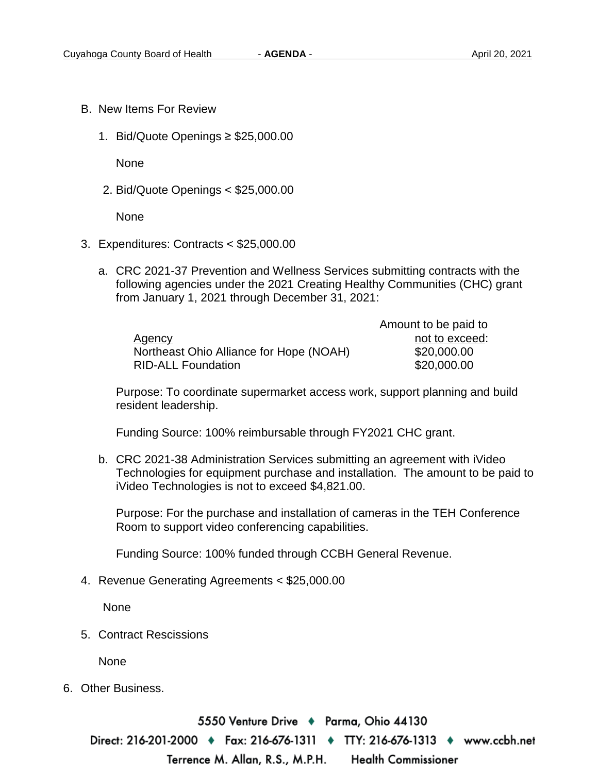Amount to be paid to

- B. New Items For Review
	- 1. Bid/Quote Openings ≥ \$25,000.00

**None** 

2. Bid/Quote Openings < \$25,000.00

None

- 3. Expenditures: Contracts < \$25,000.00
	- a. CRC 2021-37 Prevention and Wellness Services submitting contracts with the following agencies under the 2021 Creating Healthy Communities (CHC) grant from January 1, 2021 through December 31, 2021:

|                                         | Amount to be paid to |
|-----------------------------------------|----------------------|
| Agency                                  | not to exceed:       |
| Northeast Ohio Alliance for Hope (NOAH) | \$20,000.00          |
| <b>RID-ALL Foundation</b>               | \$20,000.00          |

Purpose: To coordinate supermarket access work, support planning and build resident leadership.

Funding Source: 100% reimbursable through FY2021 CHC grant.

b. CRC 2021-38 Administration Services submitting an agreement with iVideo Technologies for equipment purchase and installation. The amount to be paid to iVideo Technologies is not to exceed \$4,821.00.

Purpose: For the purchase and installation of cameras in the TEH Conference Room to support video conferencing capabilities.

Funding Source: 100% funded through CCBH General Revenue.

4. Revenue Generating Agreements < \$25,000.00

None

5. Contract Rescissions

None

6. Other Business.

5550 Venture Drive ♦ Parma, Ohio 44130 Direct: 216-201-2000 ♦ Fax: 216-676-1311 ♦ TTY: 216-676-1313 ♦ www.ccbh.net Terrence M. Allan, R.S., M.P.H. **Health Commissioner**